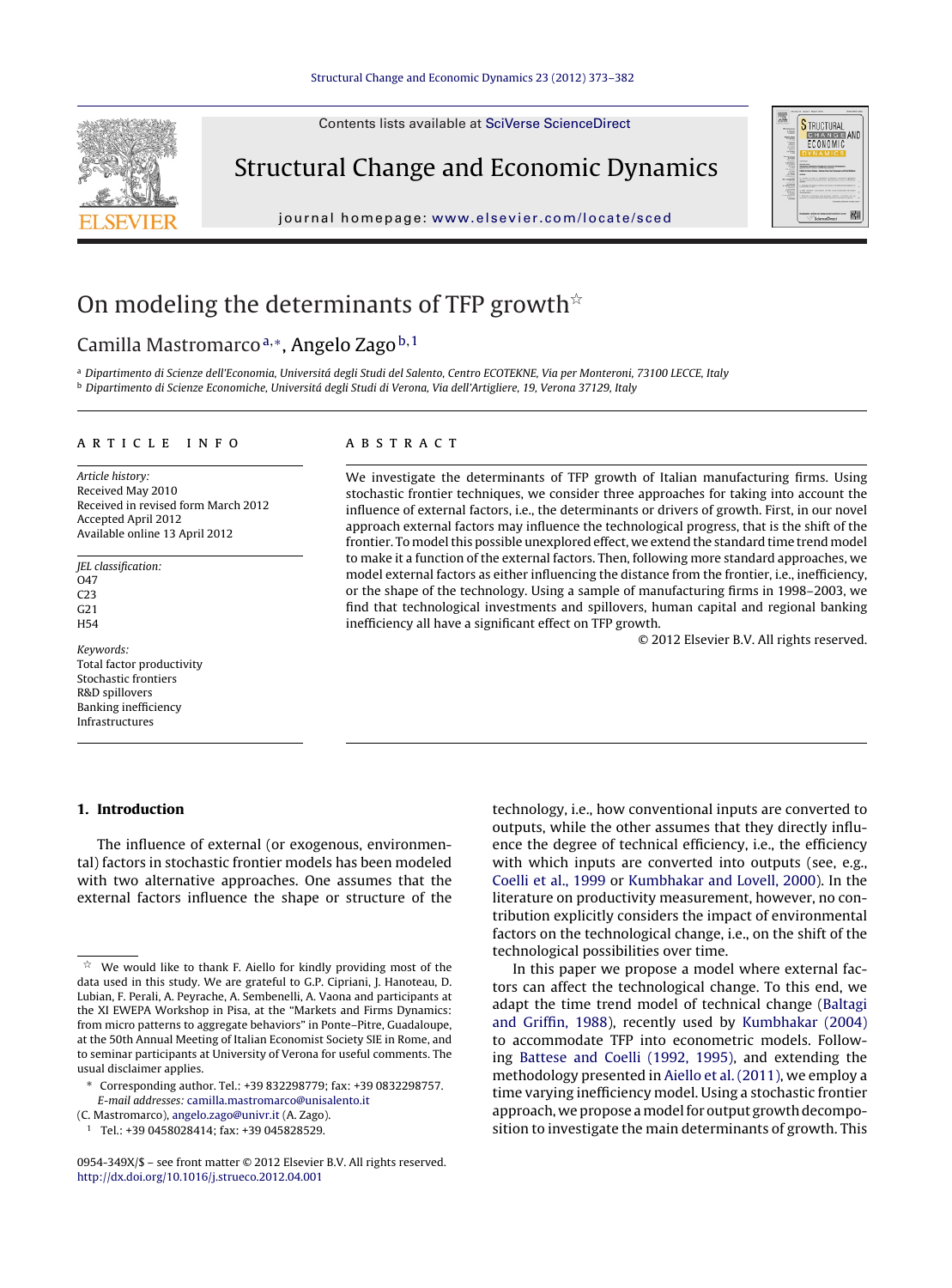Contents lists available at SciVerse [ScienceDirect](http://www.sciencedirect.com/science/journal/0954349X)



Structural Change and Economic Dynamics

journal homepage: [www.elsevier.com/locate/sced](http://www.elsevier.com/locate/sced)



## On modeling the determinants of TFP growth $^{\star}$

### Camilla Mastromarco<sup>a,</sup>\*, Angelo Zago<sup>b,1</sup>

a Dipartimento di Scienze dell'Economia, Universitá degli Studi del Salento, Centro ECOTEKNE, Via per Monteroni, 73100 LECCE, Italy <sup>b</sup> Dipartimento di Scienze Economiche, Universitá degli Studi di Verona, Via dell'Artigliere, 19, Verona 37129, Italy

#### a r t i c l e i n f o

Article history: Received May 2010 Received in revised form March 2012 Accepted April 2012 Available online 13 April 2012

JEL classification: O47 C23 G21 H54

Keywords: Total factor productivity Stochastic frontiers R&D spillovers Banking inefficiency Infrastructures

#### **1. Introduction**

The influence of external (or exogenous, environmental) factors in stochastic frontier models has been modeled with two alternative approaches. One assumes that the external factors influence the shape or structure of the

(C. Mastromarco), [angelo.zago@univr.it](mailto:angelo.zago@univr.it) (A. Zago).

#### a b s t r a c t

We investigate the determinants of TFP growth of Italian manufacturing firms. Using stochastic frontier techniques, we consider three approaches for taking into account the influence of external factors, i.e., the determinants or drivers of growth. First, in our novel approach external factors may influence the technological progress, that is the shift of the frontier. To model this possible unexplored effect, we extend the standard time trend model to make it a function of the external factors. Then, following more standard approaches, we model external factors as either influencing the distance from the frontier, i.e., inefficiency, or the shape of the technology. Using a sample of manufacturing firms in 1998–2003, we find that technological investments and spillovers, human capital and regional banking inefficiency all have a significant effect on TFP growth.

© 2012 Elsevier B.V. All rights reserved.

technology, i.e., how conventional inputs are converted to outputs, while the other assumes that they directly influence the degree of technical efficiency, i.e., the efficiency with which inputs are converted into outputs (see, e.g., [Coelli](#page--1-0) et [al.,](#page--1-0) [1999](#page--1-0) or [Kumbhakar](#page--1-0) [and](#page--1-0) [Lovell,](#page--1-0) [2000\).](#page--1-0) In the literature on productivity measurement, however, no contribution explicitly considers the impact of environmental factors on the technological change, i.e., on the shift of the technological possibilities over time.

In this paper we propose a model where external factors can affect the technological change. To this end, we adapt the time trend model of technical change [\(Baltagi](#page--1-0) [and](#page--1-0) [Griffin,](#page--1-0) [1988\),](#page--1-0) recently used by [Kumbhakar](#page--1-0) [\(2004\)](#page--1-0) to accommodate TFP into econometric models. Following [Battese](#page--1-0) [and](#page--1-0) [Coelli](#page--1-0) [\(1992,](#page--1-0) [1995\),](#page--1-0) and extending the methodology presented in [Aiello](#page--1-0) et [al.](#page--1-0) [\(2011\),](#page--1-0) we employ a time varying inefficiency model. Using a stochastic frontier approach, we propose a model for output growth decomposition to investigate the main determinants of growth. This

<sup>-</sup> We would like to thank F. Aiello for kindly providing most of the data used in this study. We are grateful to G.P. Cipriani, J. Hanoteau, D. Lubian, F. Perali, A. Peyrache, A. Sembenelli, A. Vaona and participants at the XI EWEPA Workshop in Pisa, at the "Markets and Firms Dynamics: from micro patterns to aggregate behaviors" in Ponte–Pitre, Guadaloupe, at the 50th Annual Meeting of Italian Economist Society SIE in Rome, and to seminar participants at University of Verona for useful comments. The usual disclaimer applies.

<sup>∗</sup> Corresponding author. Tel.: +39 832298779; fax: +39 0832298757. E-mail addresses: [camilla.mastromarco@unisalento.it](mailto:camilla.mastromarco@unisalento.it)

<sup>1</sup> Tel.: +39 0458028414; fax: +39 045828529.

<sup>0954-349</sup>X/\$ – see front matter © 2012 Elsevier B.V. All rights reserved. [http://dx.doi.org/10.1016/j.strueco.2012.04.001](dx.doi.org/10.1016/j.strueco.2012.04.001)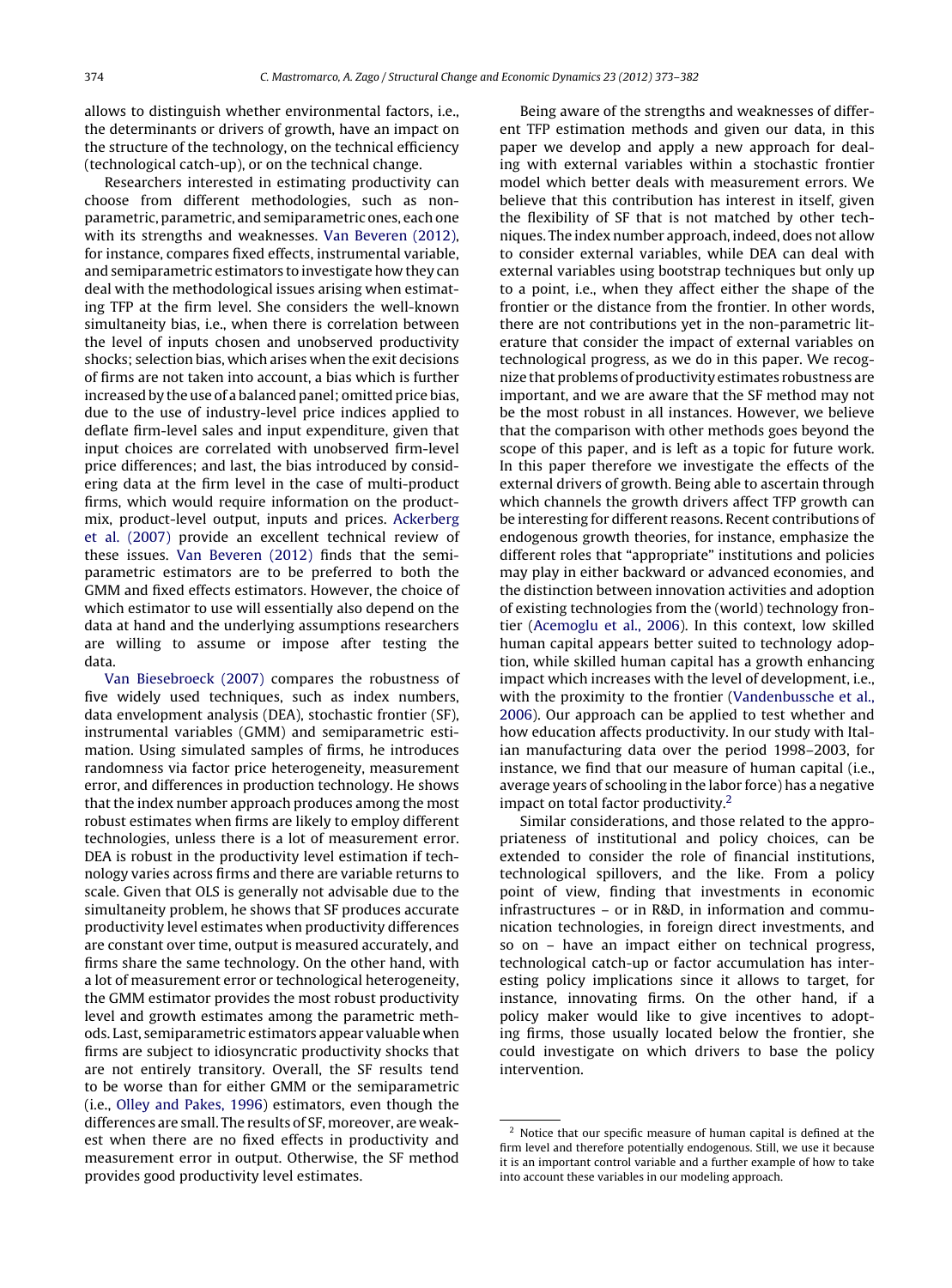allows to distinguish whether environmental factors, i.e., the determinants or drivers of growth, have an impact on the structure of the technology, on the technical efficiency (technological catch-up), or on the technical change.

Researchers interested in estimating productivity can choose from different methodologies, such as nonparametric, parametric, and semiparametric ones, each one with its strengths and weaknesses. [Van](#page--1-0) [Beveren](#page--1-0) [\(2012\),](#page--1-0) for instance, compares fixed effects, instrumental variable, and semiparametric estimators to investigate how they can deal with the methodological issues arising when estimating TFP at the firm level. She considers the well-known simultaneity bias, i.e., when there is correlation between the level of inputs chosen and unobserved productivity shocks; selection bias, which arises when the exit decisions of firms are not taken into account, a bias which is further increased by the use of a balanced panel; omitted price bias, due to the use of industry-level price indices applied to deflate firm-level sales and input expenditure, given that input choices are correlated with unobserved firm-level price differences; and last, the bias introduced by considering data at the firm level in the case of multi-product firms, which would require information on the productmix, product-level output, inputs and prices. [Ackerberg](#page--1-0) et [al.](#page--1-0) [\(2007\)](#page--1-0) provide an excellent technical review of these issues. [Van](#page--1-0) [Beveren](#page--1-0) [\(2012\)](#page--1-0) finds that the semiparametric estimators are to be preferred to both the GMM and fixed effects estimators. However, the choice of which estimator to use will essentially also depend on the data at hand and the underlying assumptions researchers are willing to assume or impose after testing the data.

[Van](#page--1-0) [Biesebroeck](#page--1-0) [\(2007\)](#page--1-0) compares the robustness of five widely used techniques, such as index numbers, data envelopment analysis (DEA), stochastic frontier (SF), instrumental variables (GMM) and semiparametric estimation. Using simulated samples of firms, he introduces randomness via factor price heterogeneity, measurement error, and differences in production technology. He shows that the index number approach produces among the most robust estimates when firms are likely to employ different technologies, unless there is a lot of measurement error. DEA is robust in the productivity level estimation if technology varies across firms and there are variable returns to scale. Given that OLS is generally not advisable due to the simultaneity problem, he shows that SF produces accurate productivity level estimates when productivity differences are constant over time, output is measured accurately, and firms share the same technology. On the other hand, with a lot of measurement error or technological heterogeneity, the GMM estimator provides the most robust productivity level and growth estimates among the parametric methods. Last, semiparametric estimators appear valuable when firms are subject to idiosyncratic productivity shocks that are not entirely transitory. Overall, the SF results tend to be worse than for either GMM or the semiparametric (i.e., [Olley](#page--1-0) [and](#page--1-0) [Pakes,](#page--1-0) [1996\)](#page--1-0) estimators, even though the differences are small. The results of SF, moreover, are weakest when there are no fixed effects in productivity and measurement error in output. Otherwise, the SF method provides good productivity level estimates.

Being aware of the strengths and weaknesses of different TFP estimation methods and given our data, in this paper we develop and apply a new approach for dealing with external variables within a stochastic frontier model which better deals with measurement errors. We believe that this contribution has interest in itself, given the flexibility of SF that is not matched by other techniques. The index number approach, indeed, does not allow to consider external variables, while DEA can deal with external variables using bootstrap techniques but only up to a point, i.e., when they affect either the shape of the frontier or the distance from the frontier. In other words, there are not contributions yet in the non-parametric literature that consider the impact of external variables on technological progress, as we do in this paper. We recognize that problems of productivity estimates robustness are important, and we are aware that the SF method may not be the most robust in all instances. However, we believe that the comparison with other methods goes beyond the scope of this paper, and is left as a topic for future work. In this paper therefore we investigate the effects of the external drivers of growth. Being able to ascertain through which channels the growth drivers affect TFP growth can be interesting for different reasons. Recent contributions of endogenous growth theories, for instance, emphasize the different roles that "appropriate" institutions and policies may play in either backward or advanced economies, and the distinction between innovation activities and adoption of existing technologies from the (world) technology frontier [\(Acemoglu](#page--1-0) et [al.,](#page--1-0) [2006\).](#page--1-0) In this context, low skilled human capital appears better suited to technology adoption, while skilled human capital has a growth enhancing impact which increases with the level of development, i.e., with the proximity to the frontier [\(Vandenbussche](#page--1-0) et [al.,](#page--1-0) [2006\).](#page--1-0) Our approach can be applied to test whether and how education affects productivity. In our study with Italian manufacturing data over the period 1998–2003, for instance, we find that our measure of human capital (i.e., average years of schooling in the labor force) has a negative impact on total factor productivity.<sup>2</sup>

Similar considerations, and those related to the appropriateness of institutional and policy choices, can be extended to consider the role of financial institutions, technological spillovers, and the like. From a policy point of view, finding that investments in economic infrastructures – or in R&D, in information and communication technologies, in foreign direct investments, and so on – have an impact either on technical progress, technological catch-up or factor accumulation has interesting policy implications since it allows to target, for instance, innovating firms. On the other hand, if a policy maker would like to give incentives to adopting firms, those usually located below the frontier, she could investigate on which drivers to base the policy intervention.

<sup>2</sup> Notice that our specific measure of human capital is defined at the firm level and therefore potentially endogenous. Still, we use it because it is an important control variable and a further example of how to take into account these variables in our modeling approach.